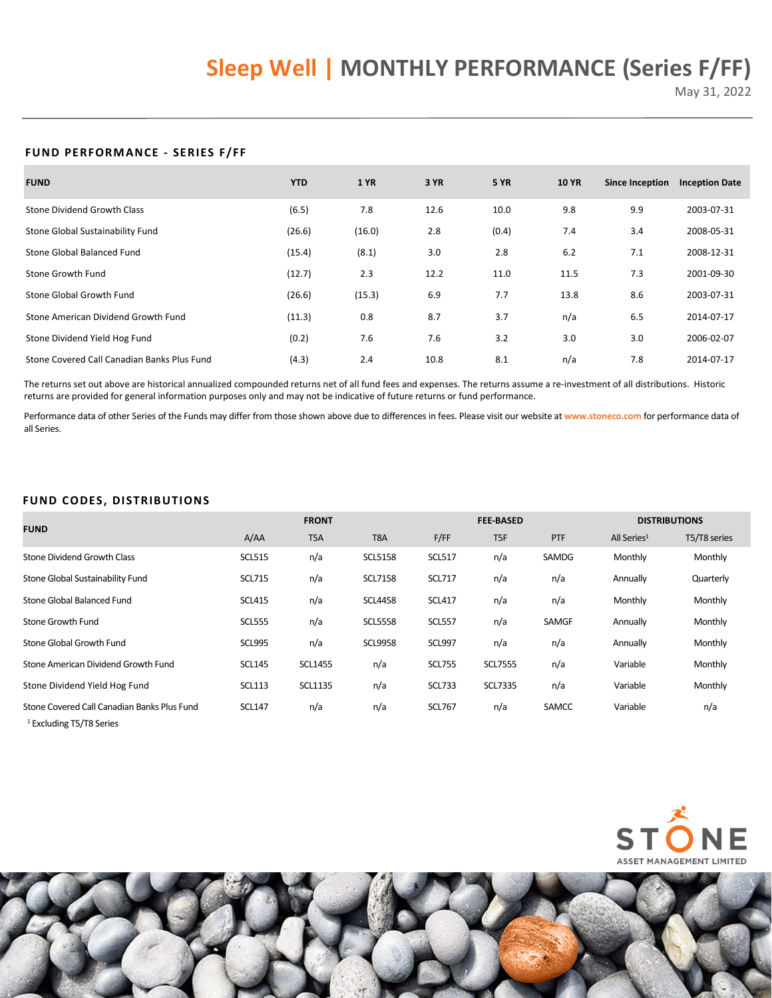# **Sleep Well | MONTHLY PERFORMANCE (Series F/FF)**

May 31, 2022

## **FUND PERFORMANCE - SERIES F/FF**

| <b>FUND</b>                                 | <b>YTD</b> | <b>1 YR</b> | 3 YR | <b>5 YR</b> | <b>10 YR</b> | <b>Since Inception</b> | <b>Inception Date</b> |
|---------------------------------------------|------------|-------------|------|-------------|--------------|------------------------|-----------------------|
| <b>Stone Dividend Growth Class</b>          | (6.5)      | 7.8         | 12.6 | 10.0        | 9.8          | 9.9                    | 2003-07-31            |
| Stone Global Sustainability Fund            | (26.6)     | (16.0)      | 2.8  | (0.4)       | 7.4          | 3.4                    | 2008-05-31            |
| Stone Global Balanced Fund                  | (15.4)     | (8.1)       | 3.0  | 2.8         | 6.2          | 7.1                    | 2008-12-31            |
| Stone Growth Fund                           | (12.7)     | 2.3         | 12.2 | 11.0        | 11.5         | 7.3                    | 2001-09-30            |
| Stone Global Growth Fund                    | (26.6)     | (15.3)      | 6.9  | 7.7         | 13.8         | 8.6                    | 2003-07-31            |
| Stone American Dividend Growth Fund         | (11.3)     | 0.8         | 8.7  | 3.7         | n/a          | 6.5                    | 2014-07-17            |
| Stone Dividend Yield Hog Fund               | (0.2)      | 7.6         | 7.6  | 3.2         | 3.0          | 3.0                    | 2006-02-07            |
| Stone Covered Call Canadian Banks Plus Fund | (4.3)      | 2.4         | 10.8 | 8.1         | n/a          | 7.8                    | 2014-07-17            |

The returns set out above are historical annualized compounded returns net of all fund fees and expenses. The returns assume a re-investment of all distributions. Historic returns are provided for general information purposes only and may not be indicative of future returns or fund performance.

Performance data of other Series of the Funds may differ from those shown above due to differences in fees. Please visit our website at **[www.stoneco.com](https://www.stoneco.com/performancedata/rolling-returns/?currentFund=766)** for performance data of all Series.

## **FUND CODES, DISTRIBUTIONS**

| <b>FUND</b>                                                                        |               | <b>FRONT</b>   |                  |               | <b>FEE-BASED</b> |            |                         | <b>DISTRIBUTIONS</b> |  |
|------------------------------------------------------------------------------------|---------------|----------------|------------------|---------------|------------------|------------|-------------------------|----------------------|--|
|                                                                                    | A/AA          | T5A            | T <sub>8</sub> A | F/FF          | T <sub>5F</sub>  | <b>PTF</b> | All Series <sup>1</sup> | T5/T8 series         |  |
| Stone Dividend Growth Class                                                        | <b>SCL515</b> | n/a            | <b>SCL5158</b>   | <b>SCL517</b> | n/a              | SAMDG      | Monthly                 | Monthly              |  |
| Stone Global Sustainability Fund                                                   | <b>SCL715</b> | n/a            | <b>SCL7158</b>   | <b>SCL717</b> | n/a              | n/a        | Annually                | Quarterly            |  |
| Stone Global Balanced Fund                                                         | <b>SCL415</b> | n/a            | <b>SCL4458</b>   | <b>SCL417</b> | n/a              | n/a        | Monthly                 | Monthly              |  |
| Stone Growth Fund                                                                  | <b>SCL555</b> | n/a            | <b>SCL5558</b>   | <b>SCL557</b> | n/a              | SAMGF      | Annually                | Monthly              |  |
| Stone Global Growth Fund                                                           | <b>SCL995</b> | n/a            | <b>SCL9958</b>   | <b>SCL997</b> | n/a              | n/a        | Annually                | Monthly              |  |
| Stone American Dividend Growth Fund                                                | <b>SCL145</b> | <b>SCL1455</b> | n/a              | <b>SCL755</b> | <b>SCL7555</b>   | n/a        | Variable                | Monthly              |  |
| Stone Dividend Yield Hog Fund                                                      | <b>SCL113</b> | <b>SCL1135</b> | n/a              | <b>SCL733</b> | <b>SCL7335</b>   | n/a        | Variable                | Monthly              |  |
| Stone Covered Call Canadian Banks Plus Fund<br><sup>1</sup> Excluding T5/T8 Series | <b>SCL147</b> | n/a            | n/a              | <b>SCL767</b> | n/a              | SAMCC      | Variable                | n/a                  |  |